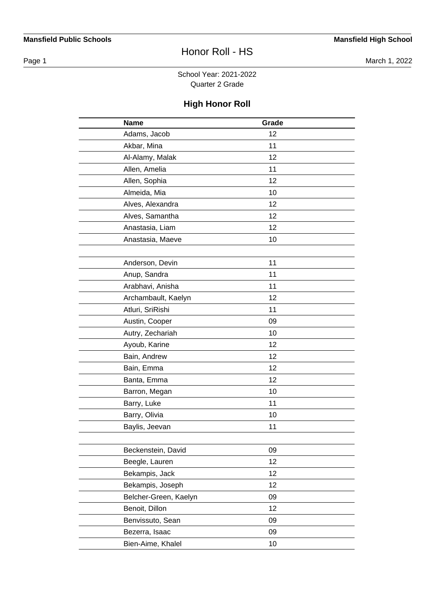Page 1 March 1, 2022

#### School Year: 2021-2022 Quarter 2 Grade

| <b>Name</b>           | Grade |  |
|-----------------------|-------|--|
| Adams, Jacob          | 12    |  |
| Akbar, Mina           | 11    |  |
| Al-Alamy, Malak       | 12    |  |
| Allen, Amelia         | 11    |  |
| Allen, Sophia         | 12    |  |
| Almeida, Mia          | 10    |  |
| Alves, Alexandra      | 12    |  |
| Alves, Samantha       | 12    |  |
| Anastasia, Liam       | 12    |  |
| Anastasia, Maeve      | 10    |  |
|                       |       |  |
| Anderson, Devin       | 11    |  |
| Anup, Sandra          | 11    |  |
| Arabhavi, Anisha      | 11    |  |
| Archambault, Kaelyn   | 12    |  |
| Atluri, SriRishi      | 11    |  |
| Austin, Cooper        | 09    |  |
| Autry, Zechariah      | 10    |  |
| Ayoub, Karine         | 12    |  |
| Bain, Andrew          | 12    |  |
| Bain, Emma            | 12    |  |
| Banta, Emma           | 12    |  |
| Barron, Megan         | 10    |  |
| Barry, Luke           | 11    |  |
| Barry, Olivia         | 10    |  |
| Baylis, Jeevan        | 11    |  |
|                       |       |  |
| Beckenstein, David    | 09    |  |
| Beegle, Lauren        | 12    |  |
| Bekampis, Jack        | 12    |  |
| Bekampis, Joseph      | 12    |  |
| Belcher-Green, Kaelyn | 09    |  |
| Benoit, Dillon        | 12    |  |
| Benvissuto, Sean      | 09    |  |
| Bezerra, Isaac        | 09    |  |
| Bien-Aime, Khalel     | 10    |  |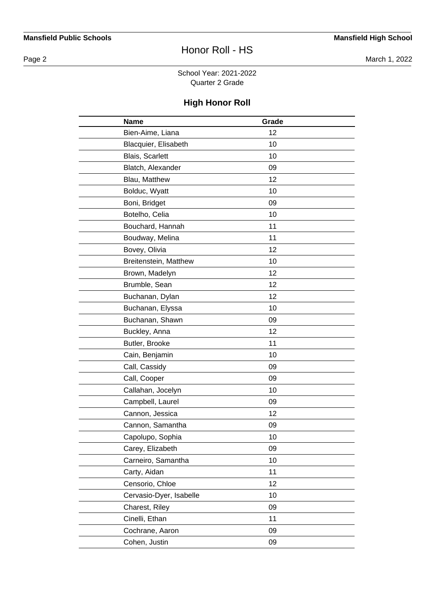Page 2 March 1, 2022

School Year: 2021-2022 Quarter 2 Grade

| <b>Name</b>             | Grade |  |
|-------------------------|-------|--|
| Bien-Aime, Liana        | 12    |  |
| Blacquier, Elisabeth    | 10    |  |
| Blais, Scarlett         | 10    |  |
| Blatch, Alexander       | 09    |  |
| Blau, Matthew           | 12    |  |
| Bolduc, Wyatt           | 10    |  |
| Boni, Bridget           | 09    |  |
| Botelho, Celia          | 10    |  |
| Bouchard, Hannah        | 11    |  |
| Boudway, Melina         | 11    |  |
| Bovey, Olivia           | 12    |  |
| Breitenstein, Matthew   | 10    |  |
| Brown, Madelyn          | 12    |  |
| Brumble, Sean           | 12    |  |
| Buchanan, Dylan         | 12    |  |
| Buchanan, Elyssa        | 10    |  |
| Buchanan, Shawn         | 09    |  |
| Buckley, Anna           | 12    |  |
| Butler, Brooke          | 11    |  |
| Cain, Benjamin          | 10    |  |
| Call, Cassidy           | 09    |  |
| Call, Cooper            | 09    |  |
| Callahan, Jocelyn       | 10    |  |
| Campbell, Laurel        | 09    |  |
| Cannon, Jessica         | 12    |  |
| Cannon, Samantha        | 09    |  |
| Capolupo, Sophia        | 10    |  |
| Carey, Elizabeth        | 09    |  |
| Carneiro, Samantha      | 10    |  |
| Carty, Aidan            | 11    |  |
| Censorio, Chloe         | 12    |  |
| Cervasio-Dyer, Isabelle | 10    |  |
| Charest, Riley          | 09    |  |
| Cinelli, Ethan          | 11    |  |
| Cochrane, Aaron         | 09    |  |
| Cohen, Justin           | 09    |  |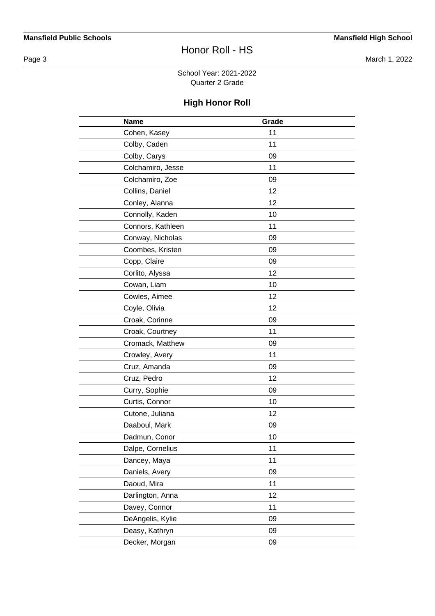Page 3 March 1, 2022

School Year: 2021-2022 Quarter 2 Grade

| <b>Name</b>       | Grade |  |
|-------------------|-------|--|
| Cohen, Kasey      | 11    |  |
| Colby, Caden      | 11    |  |
| Colby, Carys      | 09    |  |
| Colchamiro, Jesse | 11    |  |
| Colchamiro, Zoe   | 09    |  |
| Collins, Daniel   | 12    |  |
| Conley, Alanna    | 12    |  |
| Connolly, Kaden   | 10    |  |
| Connors, Kathleen | 11    |  |
| Conway, Nicholas  | 09    |  |
| Coombes, Kristen  | 09    |  |
| Copp, Claire      | 09    |  |
| Corlito, Alyssa   | 12    |  |
| Cowan, Liam       | 10    |  |
| Cowles, Aimee     | 12    |  |
| Coyle, Olivia     | 12    |  |
| Croak, Corinne    | 09    |  |
| Croak, Courtney   | 11    |  |
| Cromack, Matthew  | 09    |  |
| Crowley, Avery    | 11    |  |
| Cruz, Amanda      | 09    |  |
| Cruz, Pedro       | 12    |  |
| Curry, Sophie     | 09    |  |
| Curtis, Connor    | 10    |  |
| Cutone, Juliana   | 12    |  |
| Daaboul, Mark     | 09    |  |
| Dadmun, Conor     | 10    |  |
| Dalpe, Cornelius  | 11    |  |
| Dancey, Maya      | 11    |  |
| Daniels, Avery    | 09    |  |
| Daoud, Mira       | 11    |  |
| Darlington, Anna  | 12    |  |
| Davey, Connor     | 11    |  |
| DeAngelis, Kylie  | 09    |  |
| Deasy, Kathryn    | 09    |  |
| Decker, Morgan    | 09    |  |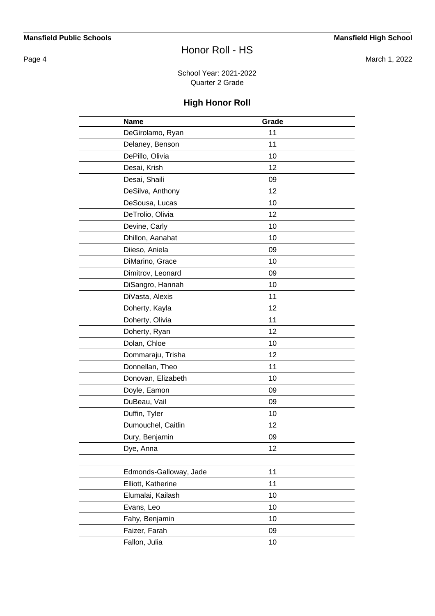Page 4 March 1, 2022

School Year: 2021-2022 Quarter 2 Grade

| <b>Name</b>            | Grade |  |
|------------------------|-------|--|
| DeGirolamo, Ryan       | 11    |  |
| Delaney, Benson        | 11    |  |
| DePillo, Olivia        | 10    |  |
| Desai, Krish           | 12    |  |
| Desai, Shaili          | 09    |  |
| DeSilva, Anthony       | 12    |  |
| DeSousa, Lucas         | 10    |  |
| DeTrolio, Olivia       | 12    |  |
| Devine, Carly          | 10    |  |
| Dhillon, Aanahat       | 10    |  |
| Diieso, Aniela         | 09    |  |
| DiMarino, Grace        | 10    |  |
| Dimitrov, Leonard      | 09    |  |
| DiSangro, Hannah       | 10    |  |
| DiVasta, Alexis        | 11    |  |
| Doherty, Kayla         | 12    |  |
| Doherty, Olivia        | 11    |  |
| Doherty, Ryan          | 12    |  |
| Dolan, Chloe           | 10    |  |
| Dommaraju, Trisha      | 12    |  |
| Donnellan, Theo        | 11    |  |
| Donovan, Elizabeth     | 10    |  |
| Doyle, Eamon           | 09    |  |
| DuBeau, Vail           | 09    |  |
| Duffin, Tyler          | 10    |  |
| Dumouchel, Caitlin     | 12    |  |
| Dury, Benjamin         | 09    |  |
| Dye, Anna              | 12    |  |
|                        |       |  |
| Edmonds-Galloway, Jade | 11    |  |
| Elliott, Katherine     | 11    |  |
| Elumalai, Kailash      | 10    |  |
| Evans, Leo             | 10    |  |
| Fahy, Benjamin         | 10    |  |
| Faizer, Farah          | 09    |  |
| Fallon, Julia          | 10    |  |
|                        |       |  |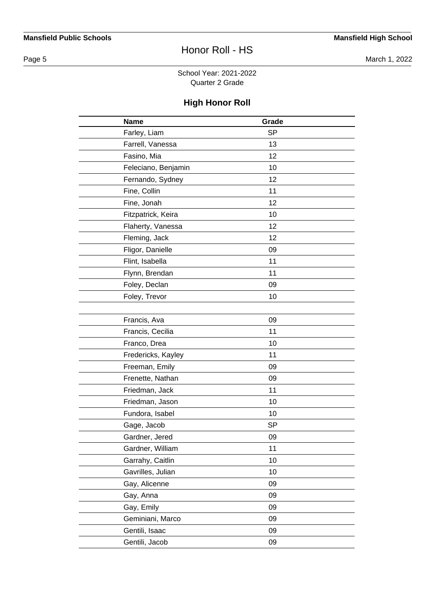Page 5 March 1, 2022

School Year: 2021-2022 Quarter 2 Grade

| <b>Name</b>         | Grade     |  |
|---------------------|-----------|--|
| Farley, Liam        | <b>SP</b> |  |
| Farrell, Vanessa    | 13        |  |
| Fasino, Mia         | 12        |  |
| Feleciano, Benjamin | 10        |  |
| Fernando, Sydney    | 12        |  |
| Fine, Collin        | 11        |  |
| Fine, Jonah         | 12        |  |
| Fitzpatrick, Keira  | 10        |  |
| Flaherty, Vanessa   | 12        |  |
| Fleming, Jack       | 12        |  |
| Fligor, Danielle    | 09        |  |
| Flint, Isabella     | 11        |  |
| Flynn, Brendan      | 11        |  |
| Foley, Declan       | 09        |  |
| Foley, Trevor       | 10        |  |
|                     |           |  |
| Francis, Ava        | 09        |  |
| Francis, Cecilia    | 11        |  |
| Franco, Drea        | 10        |  |
| Fredericks, Kayley  | 11        |  |
| Freeman, Emily      | 09        |  |
| Frenette, Nathan    | 09        |  |
| Friedman, Jack      | 11        |  |
| Friedman, Jason     | 10        |  |
| Fundora, Isabel     | 10        |  |
| Gage, Jacob         | <b>SP</b> |  |
| Gardner, Jered      | 09        |  |
| Gardner, William    | 11        |  |
| Garrahy, Caitlin    | 10        |  |
| Gavrilles, Julian   | 10        |  |
| Gay, Alicenne       | 09        |  |
| Gay, Anna           | 09        |  |
| Gay, Emily          | 09        |  |
| Geminiani, Marco    | 09        |  |
| Gentili, Isaac      | 09        |  |
| Gentili, Jacob      | 09        |  |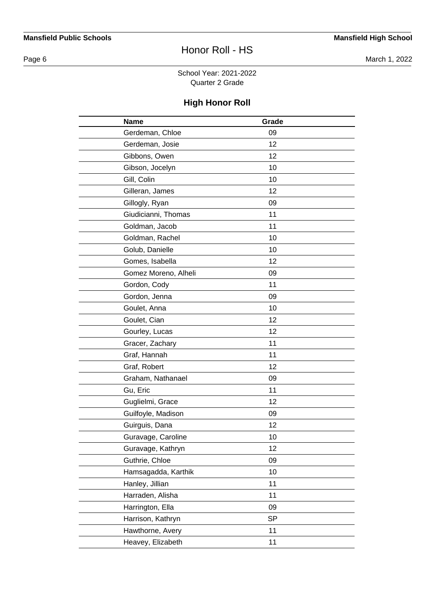Page 6 March 1, 2022

#### School Year: 2021-2022 Quarter 2 Grade

| <b>Name</b>          | Grade     |  |
|----------------------|-----------|--|
| Gerdeman, Chloe      | 09        |  |
| Gerdeman, Josie      | 12        |  |
| Gibbons, Owen        | 12        |  |
| Gibson, Jocelyn      | 10        |  |
| Gill, Colin          | 10        |  |
| Gilleran, James      | 12        |  |
| Gillogly, Ryan       | 09        |  |
| Giudicianni, Thomas  | 11        |  |
| Goldman, Jacob       | 11        |  |
| Goldman, Rachel      | 10        |  |
| Golub, Danielle      | 10        |  |
| Gomes, Isabella      | 12        |  |
| Gomez Moreno, Alheli | 09        |  |
| Gordon, Cody         | 11        |  |
| Gordon, Jenna        | 09        |  |
| Goulet, Anna         | 10        |  |
| Goulet, Cian         | 12        |  |
| Gourley, Lucas       | 12        |  |
| Gracer, Zachary      | 11        |  |
| Graf, Hannah         | 11        |  |
| Graf, Robert         | 12        |  |
| Graham, Nathanael    | 09        |  |
| Gu, Eric             | 11        |  |
| Guglielmi, Grace     | 12        |  |
| Guilfoyle, Madison   | 09        |  |
| Guirguis, Dana       | 12        |  |
| Guravage, Caroline   | 10        |  |
| Guravage, Kathryn    | 12        |  |
| Guthrie, Chloe       | 09        |  |
| Hamsagadda, Karthik  | 10        |  |
| Hanley, Jillian      | 11        |  |
| Harraden, Alisha     | 11        |  |
| Harrington, Ella     | 09        |  |
| Harrison, Kathryn    | <b>SP</b> |  |
| Hawthorne, Avery     | 11        |  |
| Heavey, Elizabeth    | 11        |  |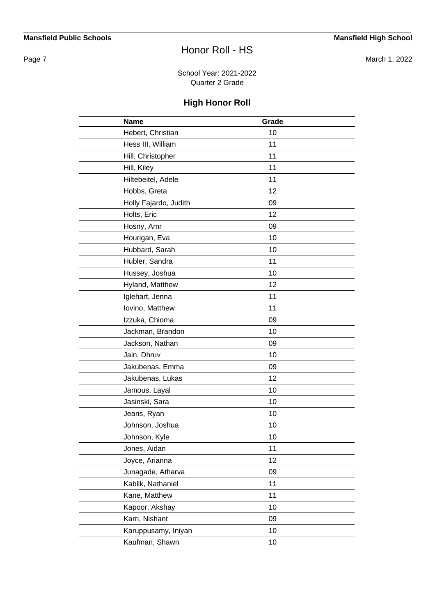Page 7 March 1, 2022

School Year: 2021-2022 Quarter 2 Grade

| <b>Name</b>           | Grade |  |
|-----------------------|-------|--|
| Hebert, Christian     | 10    |  |
| Hess III, William     | 11    |  |
| Hill, Christopher     | 11    |  |
| Hill, Kiley           | 11    |  |
| Hiltebeitel, Adele    | 11    |  |
| Hobbs, Greta          | 12    |  |
| Holly Fajardo, Judith | 09    |  |
| Holts, Eric           | 12    |  |
| Hosny, Amr            | 09    |  |
| Hourigan, Eva         | 10    |  |
| Hubbard, Sarah        | 10    |  |
| Hubler, Sandra        | 11    |  |
| Hussey, Joshua        | 10    |  |
| Hyland, Matthew       | 12    |  |
| Iglehart, Jenna       | 11    |  |
| Iovino, Matthew       | 11    |  |
| Izzuka, Chioma        | 09    |  |
| Jackman, Brandon      | 10    |  |
| Jackson, Nathan       | 09    |  |
| Jain, Dhruv           | 10    |  |
| Jakubenas, Emma       | 09    |  |
| Jakubenas, Lukas      | 12    |  |
| Jamous, Layal         | 10    |  |
| Jasinski, Sara        | 10    |  |
| Jeans, Ryan           | 10    |  |
| Johnson, Joshua       | 10    |  |
| Johnson, Kyle         | 10    |  |
| Jones, Aidan          | 11    |  |
| Joyce, Arianna        | 12    |  |
| Junagade, Atharva     | 09    |  |
| Kablik, Nathaniel     | 11    |  |
| Kane, Matthew         | 11    |  |
| Kapoor, Akshay        | 10    |  |
| Karri, Nishant        | 09    |  |
| Karuppusamy, Iniyan   | 10    |  |
| Kaufman, Shawn        | 10    |  |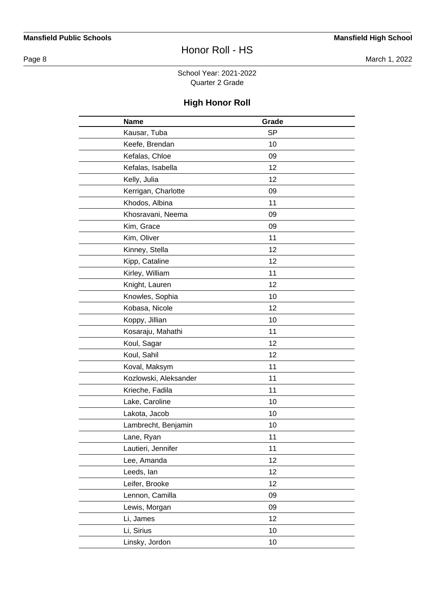Page 8 March 1, 2022

#### School Year: 2021-2022 Quarter 2 Grade

| <b>Name</b>           | Grade     |  |
|-----------------------|-----------|--|
| Kausar, Tuba          | <b>SP</b> |  |
| Keefe, Brendan        | 10        |  |
| Kefalas, Chloe        | 09        |  |
| Kefalas, Isabella     | 12        |  |
| Kelly, Julia          | 12        |  |
| Kerrigan, Charlotte   | 09        |  |
| Khodos, Albina        | 11        |  |
| Khosravani, Neema     | 09        |  |
| Kim, Grace            | 09        |  |
| Kim, Oliver           | 11        |  |
| Kinney, Stella        | 12        |  |
| Kipp, Cataline        | 12        |  |
| Kirley, William       | 11        |  |
| Knight, Lauren        | 12        |  |
| Knowles, Sophia       | 10        |  |
| Kobasa, Nicole        | 12        |  |
| Koppy, Jillian        | 10        |  |
| Kosaraju, Mahathi     | 11        |  |
| Koul, Sagar           | 12        |  |
| Koul, Sahil           | 12        |  |
| Koval, Maksym         | 11        |  |
| Kozlowski, Aleksander | 11        |  |
| Krieche, Fadila       | 11        |  |
| Lake, Caroline        | 10        |  |
| Lakota, Jacob         | 10        |  |
| Lambrecht, Benjamin   | 10        |  |
| Lane, Ryan            | 11        |  |
| Lautieri, Jennifer    | 11        |  |
| Lee, Amanda           | 12        |  |
| Leeds, lan            | 12        |  |
| Leifer, Brooke        | 12        |  |
| Lennon, Camilla       | 09        |  |
| Lewis, Morgan         | 09        |  |
| Li, James             | 12        |  |
| Li, Sirius            | 10        |  |
| Linsky, Jordon        | 10        |  |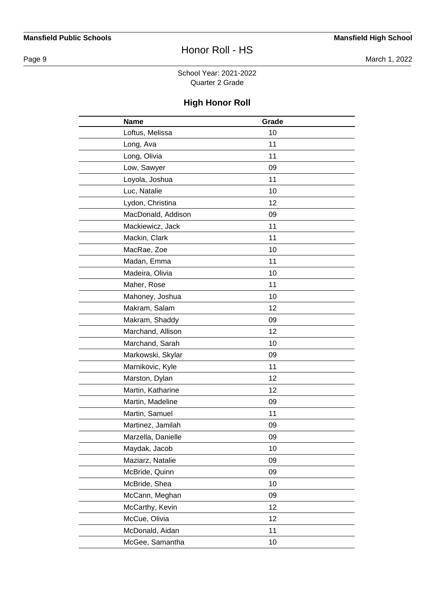Page 9 March 1, 2022

School Year: 2021-2022 Quarter 2 Grade

| <b>Name</b>        | Grade |  |
|--------------------|-------|--|
| Loftus, Melissa    | 10    |  |
| Long, Ava          | 11    |  |
| Long, Olivia       | 11    |  |
| Low, Sawyer        | 09    |  |
| Loyola, Joshua     | 11    |  |
| Luc, Natalie       | 10    |  |
| Lydon, Christina   | 12    |  |
| MacDonald, Addison | 09    |  |
| Mackiewicz, Jack   | 11    |  |
| Mackin, Clark      | 11    |  |
| MacRae, Zoe        | 10    |  |
| Madan, Emma        | 11    |  |
| Madeira, Olivia    | 10    |  |
| Maher, Rose        | 11    |  |
| Mahoney, Joshua    | 10    |  |
| Makram, Salam      | 12    |  |
| Makram, Shaddy     | 09    |  |
| Marchand, Allison  | 12    |  |
| Marchand, Sarah    | 10    |  |
| Markowski, Skylar  | 09    |  |
| Marnikovic, Kyle   | 11    |  |
| Marston, Dylan     | 12    |  |
| Martin, Katharine  | 12    |  |
| Martin, Madeline   | 09    |  |
| Martin, Samuel     | 11    |  |
| Martinez, Jamilah  | 09    |  |
| Marzella, Danielle | 09    |  |
| Maydak, Jacob      | 10    |  |
| Maziarz, Natalie   | 09    |  |
| McBride, Quinn     | 09    |  |
| McBride, Shea      | 10    |  |
| McCann, Meghan     | 09    |  |
| McCarthy, Kevin    | 12    |  |
| McCue, Olivia      | 12    |  |
| McDonald, Aidan    | 11    |  |
| McGee, Samantha    | 10    |  |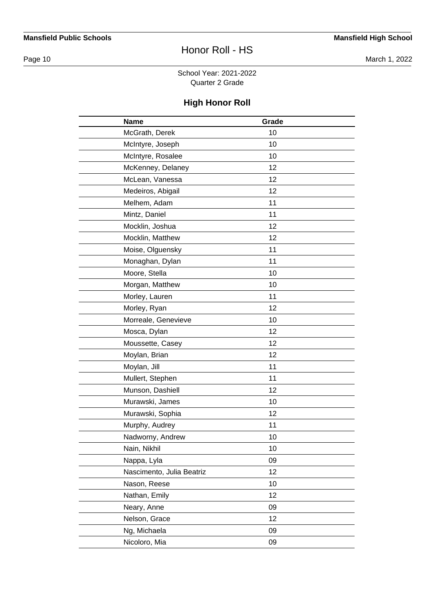Page 10 March 1, 2022

School Year: 2021-2022 Quarter 2 Grade

| <b>Name</b>               | Grade |  |
|---------------------------|-------|--|
| McGrath, Derek            | 10    |  |
| McIntyre, Joseph          | 10    |  |
| McIntyre, Rosalee         | 10    |  |
| McKenney, Delaney         | 12    |  |
| McLean, Vanessa           | 12    |  |
| Medeiros, Abigail         | 12    |  |
| Melhem, Adam              | 11    |  |
| Mintz, Daniel             | 11    |  |
| Mocklin, Joshua           | 12    |  |
| Mocklin, Matthew          | 12    |  |
| Moise, Olguensky          | 11    |  |
| Monaghan, Dylan           | 11    |  |
| Moore, Stella             | 10    |  |
| Morgan, Matthew           | 10    |  |
| Morley, Lauren            | 11    |  |
| Morley, Ryan              | 12    |  |
| Morreale, Genevieve       | 10    |  |
| Mosca, Dylan              | 12    |  |
| Moussette, Casey          | 12    |  |
| Moylan, Brian             | 12    |  |
| Moylan, Jill              | 11    |  |
| Mullert, Stephen          | 11    |  |
| Munson, Dashiell          | 12    |  |
| Murawski, James           | 10    |  |
| Murawski, Sophia          | 12    |  |
| Murphy, Audrey            | 11    |  |
| Nadworny, Andrew          | 10    |  |
| Nain, Nikhil              | 10    |  |
| Nappa, Lyla               | 09    |  |
| Nascimento, Julia Beatriz | 12    |  |
| Nason, Reese              | 10    |  |
| Nathan, Emily             | 12    |  |
| Neary, Anne               | 09    |  |
| Nelson, Grace             | 12    |  |
| Ng, Michaela              | 09    |  |
| Nicoloro, Mia             | 09    |  |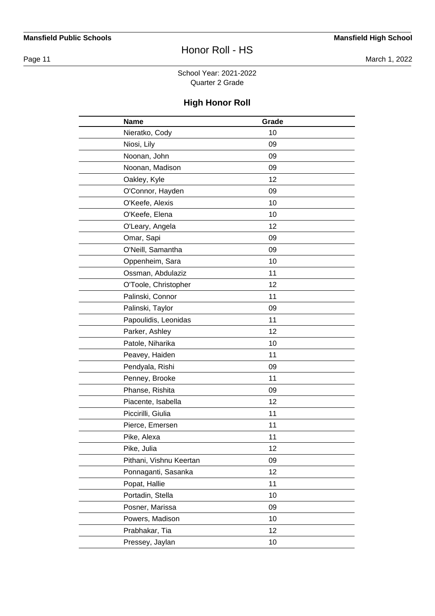Page 11 March 1, 2022

School Year: 2021-2022 Quarter 2 Grade

| <b>Name</b>             | Grade |  |
|-------------------------|-------|--|
| Nieratko, Cody          | 10    |  |
| Niosi, Lily             | 09    |  |
| Noonan, John            | 09    |  |
| Noonan, Madison         | 09    |  |
| Oakley, Kyle            | 12    |  |
| O'Connor, Hayden        | 09    |  |
| O'Keefe, Alexis         | 10    |  |
| O'Keefe, Elena          | 10    |  |
| O'Leary, Angela         | 12    |  |
| Omar, Sapi              | 09    |  |
| O'Neill, Samantha       | 09    |  |
| Oppenheim, Sara         | 10    |  |
| Ossman, Abdulaziz       | 11    |  |
| O'Toole, Christopher    | 12    |  |
| Palinski, Connor        | 11    |  |
| Palinski, Taylor        | 09    |  |
| Papoulidis, Leonidas    | 11    |  |
| Parker, Ashley          | 12    |  |
| Patole, Niharika        | 10    |  |
| Peavey, Haiden          | 11    |  |
| Pendyala, Rishi         | 09    |  |
| Penney, Brooke          | 11    |  |
| Phanse, Rishita         | 09    |  |
| Piacente, Isabella      | 12    |  |
| Piccirilli, Giulia      | 11    |  |
| Pierce, Emersen         | 11    |  |
| Pike, Alexa             | 11    |  |
| Pike, Julia             | 12    |  |
| Pithani, Vishnu Keertan | 09    |  |
| Ponnaganti, Sasanka     | 12    |  |
| Popat, Hallie           | 11    |  |
| Portadin, Stella        | 10    |  |
| Posner, Marissa         | 09    |  |
| Powers, Madison         | 10    |  |
| Prabhakar, Tia          | 12    |  |
| Pressey, Jaylan         | 10    |  |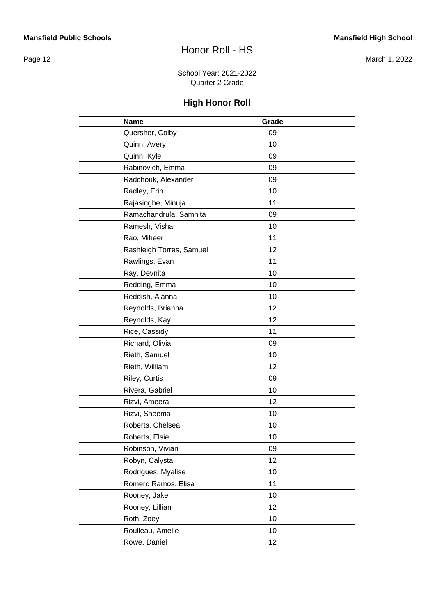Page 12 March 1, 2022

School Year: 2021-2022 Quarter 2 Grade

| <b>Name</b>              | Grade |  |
|--------------------------|-------|--|
| Quersher, Colby          | 09    |  |
| Quinn, Avery             | 10    |  |
| Quinn, Kyle              | 09    |  |
| Rabinovich, Emma         | 09    |  |
| Radchouk, Alexander      | 09    |  |
| Radley, Erin             | 10    |  |
| Rajasinghe, Minuja       | 11    |  |
| Ramachandrula, Samhita   | 09    |  |
| Ramesh, Vishal           | 10    |  |
| Rao, Miheer              | 11    |  |
| Rashleigh Torres, Samuel | 12    |  |
| Rawlings, Evan           | 11    |  |
| Ray, Devnita             | 10    |  |
| Redding, Emma            | 10    |  |
| Reddish, Alanna          | 10    |  |
| Reynolds, Brianna        | 12    |  |
| Reynolds, Kay            | 12    |  |
| Rice, Cassidy            | 11    |  |
| Richard, Olivia          | 09    |  |
| Rieth, Samuel            | 10    |  |
| Rieth, William           | 12    |  |
| Riley, Curtis            | 09    |  |
| Rivera, Gabriel          | 10    |  |
| Rizvi, Ameera            | 12    |  |
| Rizvi, Sheema            | 10    |  |
| Roberts, Chelsea         | 10    |  |
| Roberts, Elsie           | 10    |  |
| Robinson, Vivian         | 09    |  |
| Robyn, Calysta           | 12    |  |
| Rodrigues, Myalise       | 10    |  |
| Romero Ramos, Elisa      | 11    |  |
| Rooney, Jake             | 10    |  |
| Rooney, Lillian          | 12    |  |
| Roth, Zoey               | 10    |  |
| Roulleau, Amelie         | 10    |  |
| Rowe, Daniel             | 12    |  |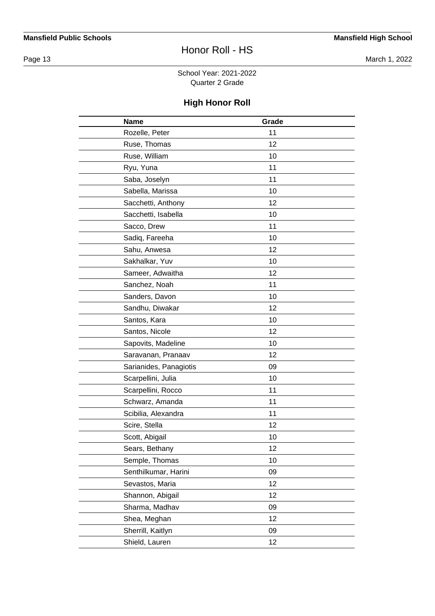Page 13 March 1, 2022

School Year: 2021-2022 Quarter 2 Grade

| <b>Name</b>            | Grade |  |
|------------------------|-------|--|
| Rozelle, Peter         | 11    |  |
| Ruse, Thomas           | 12    |  |
| Ruse, William          | 10    |  |
| Ryu, Yuna              | 11    |  |
| Saba, Joselyn          | 11    |  |
| Sabella, Marissa       | 10    |  |
| Sacchetti, Anthony     | 12    |  |
| Sacchetti, Isabella    | 10    |  |
| Sacco, Drew            | 11    |  |
| Sadiq, Fareeha         | 10    |  |
| Sahu, Anwesa           | 12    |  |
| Sakhalkar, Yuv         | 10    |  |
| Sameer, Adwaitha       | 12    |  |
| Sanchez, Noah          | 11    |  |
| Sanders, Davon         | 10    |  |
| Sandhu, Diwakar        | 12    |  |
| Santos, Kara           | 10    |  |
| Santos, Nicole         | 12    |  |
| Sapovits, Madeline     | 10    |  |
| Saravanan, Pranaav     | 12    |  |
| Sarianides, Panagiotis | 09    |  |
| Scarpellini, Julia     | 10    |  |
| Scarpellini, Rocco     | 11    |  |
| Schwarz, Amanda        | 11    |  |
| Scibilia, Alexandra    | 11    |  |
| Scire, Stella          | 12    |  |
| Scott, Abigail         | 10    |  |
| Sears, Bethany         | 12    |  |
| Semple, Thomas         | 10    |  |
| Senthilkumar, Harini   | 09    |  |
| Sevastos, Maria        | 12    |  |
| Shannon, Abigail       | 12    |  |
| Sharma, Madhav         | 09    |  |
| Shea, Meghan           | 12    |  |
| Sherrill, Kaitlyn      | 09    |  |
| Shield, Lauren         | 12    |  |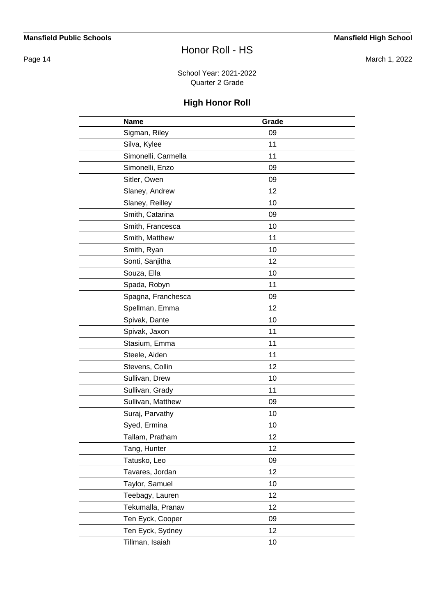Page 14 March 1, 2022

School Year: 2021-2022 Quarter 2 Grade

| <b>Name</b>         | Grade |  |
|---------------------|-------|--|
| Sigman, Riley       | 09    |  |
| Silva, Kylee        | 11    |  |
| Simonelli, Carmella | 11    |  |
| Simonelli, Enzo     | 09    |  |
| Sitler, Owen        | 09    |  |
| Slaney, Andrew      | 12    |  |
| Slaney, Reilley     | 10    |  |
| Smith, Catarina     | 09    |  |
| Smith, Francesca    | 10    |  |
| Smith, Matthew      | 11    |  |
| Smith, Ryan         | 10    |  |
| Sonti, Sanjitha     | 12    |  |
| Souza, Ella         | 10    |  |
| Spada, Robyn        | 11    |  |
| Spagna, Franchesca  | 09    |  |
| Spellman, Emma      | 12    |  |
| Spivak, Dante       | 10    |  |
| Spivak, Jaxon       | 11    |  |
| Stasium, Emma       | 11    |  |
| Steele, Aiden       | 11    |  |
| Stevens, Collin     | 12    |  |
| Sullivan, Drew      | 10    |  |
| Sullivan, Grady     | 11    |  |
| Sullivan, Matthew   | 09    |  |
| Suraj, Parvathy     | 10    |  |
| Syed, Ermina        | 10    |  |
| Tallam, Pratham     | 12    |  |
| Tang, Hunter        | 12    |  |
| Tatusko, Leo        | 09    |  |
| Tavares, Jordan     | 12    |  |
| Taylor, Samuel      | 10    |  |
| Teebagy, Lauren     | 12    |  |
| Tekumalla, Pranav   | 12    |  |
| Ten Eyck, Cooper    | 09    |  |
| Ten Eyck, Sydney    | 12    |  |
| Tillman, Isaiah     | 10    |  |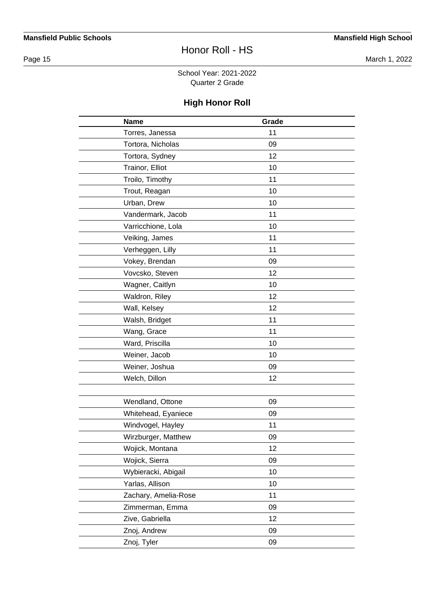Page 15 March 1, 2022

School Year: 2021-2022 Quarter 2 Grade

| <b>Name</b>          | Grade |  |
|----------------------|-------|--|
| Torres, Janessa      | 11    |  |
| Tortora, Nicholas    | 09    |  |
| Tortora, Sydney      | 12    |  |
| Trainor, Elliot      | 10    |  |
| Troilo, Timothy      | 11    |  |
| Trout, Reagan        | 10    |  |
| Urban, Drew          | 10    |  |
| Vandermark, Jacob    | 11    |  |
| Varricchione, Lola   | 10    |  |
| Veiking, James       | 11    |  |
| Verheggen, Lilly     | 11    |  |
| Vokey, Brendan       | 09    |  |
| Vovcsko, Steven      | 12    |  |
| Wagner, Caitlyn      | 10    |  |
| Waldron, Riley       | 12    |  |
| Wall, Kelsey         | 12    |  |
| Walsh, Bridget       | 11    |  |
| Wang, Grace          | 11    |  |
| Ward, Priscilla      | 10    |  |
| Weiner, Jacob        | 10    |  |
| Weiner, Joshua       | 09    |  |
| Welch, Dillon        | 12    |  |
|                      |       |  |
| Wendland, Ottone     | 09    |  |
| Whitehead, Eyaniece  | 09    |  |
| Windvogel, Hayley    | 11    |  |
| Wirzburger, Matthew  | 09    |  |
| Wojick, Montana      | 12    |  |
| Wojick, Sierra       | 09    |  |
| Wybieracki, Abigail  | 10    |  |
| Yarlas, Allison      | 10    |  |
| Zachary, Amelia-Rose | 11    |  |
| Zimmerman, Emma      | 09    |  |
| Zive, Gabriella      | 12    |  |
| Znoj, Andrew         | 09    |  |
| Znoj, Tyler          | 09    |  |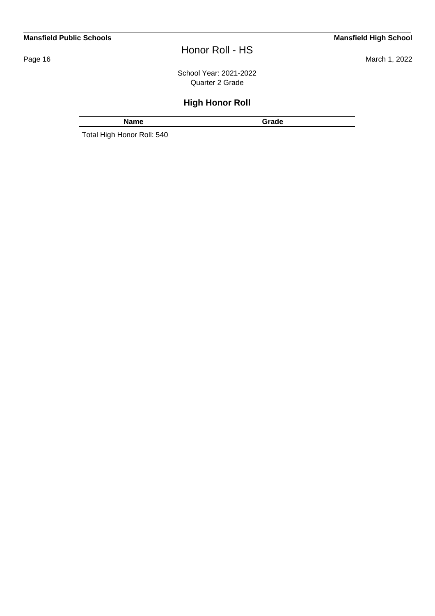#### **Mansfield Public Schools Mansfield High School**

# Honor Roll - HS

Page 16 March 1, 2022

School Year: 2021-2022 Quarter 2 Grade

# **High Honor Roll**

**Name Grade** 

Total High Honor Roll: 540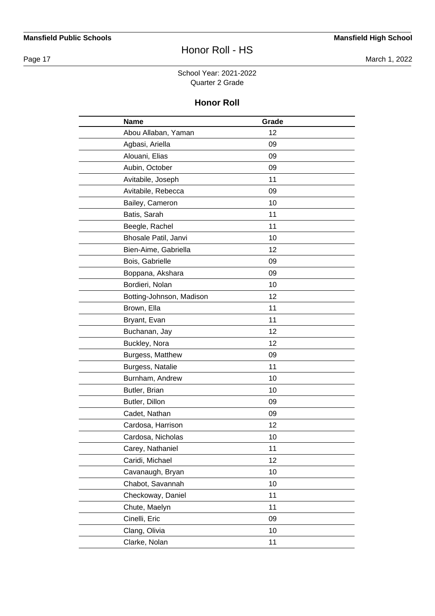Page 17 March 1, 2022

#### School Year: 2021-2022 Quarter 2 Grade

| <b>Name</b>              | Grade |  |
|--------------------------|-------|--|
| Abou Allaban, Yaman      | 12    |  |
| Agbasi, Ariella          | 09    |  |
| Alouani, Elias           | 09    |  |
| Aubin, October           | 09    |  |
| Avitabile, Joseph        | 11    |  |
| Avitabile, Rebecca       | 09    |  |
| Bailey, Cameron          | 10    |  |
| Batis, Sarah             | 11    |  |
| Beegle, Rachel           | 11    |  |
| Bhosale Patil, Janvi     | 10    |  |
| Bien-Aime, Gabriella     | 12    |  |
| Bois, Gabrielle          | 09    |  |
| Boppana, Akshara         | 09    |  |
| Bordieri, Nolan          | 10    |  |
| Botting-Johnson, Madison | 12    |  |
| Brown, Ella              | 11    |  |
| Bryant, Evan             | 11    |  |
| Buchanan, Jay            | 12    |  |
| Buckley, Nora            | 12    |  |
| Burgess, Matthew         | 09    |  |
| Burgess, Natalie         | 11    |  |
| Burnham, Andrew          | 10    |  |
| Butler, Brian            | 10    |  |
| Butler, Dillon           | 09    |  |
| Cadet, Nathan            | 09    |  |
| Cardosa, Harrison        | 12    |  |
| Cardosa, Nicholas        | 10    |  |
| Carey, Nathaniel         | 11    |  |
| Caridi, Michael          | 12    |  |
| Cavanaugh, Bryan         | 10    |  |
| Chabot, Savannah         | 10    |  |
| Checkoway, Daniel        | 11    |  |
| Chute, Maelyn            | 11    |  |
| Cinelli, Eric            | 09    |  |
| Clang, Olivia            | 10    |  |
| Clarke, Nolan            | 11    |  |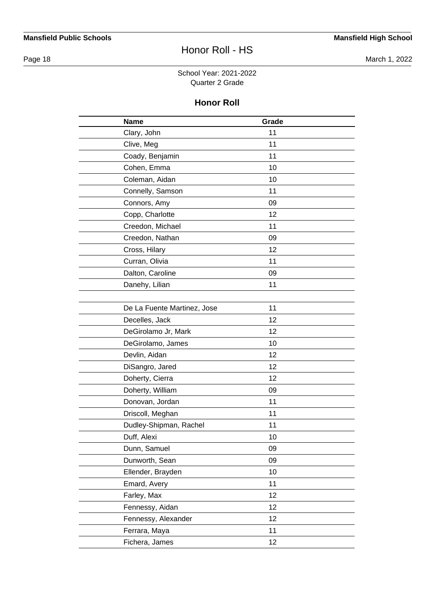Page 18 March 1, 2022

#### School Year: 2021-2022 Quarter 2 Grade

| <b>Name</b>                 | Grade |  |
|-----------------------------|-------|--|
| Clary, John                 | 11    |  |
| Clive, Meg                  | 11    |  |
| Coady, Benjamin             | 11    |  |
| Cohen, Emma                 | 10    |  |
| Coleman, Aidan              | 10    |  |
| Connelly, Samson            | 11    |  |
| Connors, Amy                | 09    |  |
| Copp, Charlotte             | 12    |  |
| Creedon, Michael            | 11    |  |
| Creedon, Nathan             | 09    |  |
| Cross, Hilary               | 12    |  |
| Curran, Olivia              | 11    |  |
| Dalton, Caroline            | 09    |  |
| Danehy, Lilian              | 11    |  |
|                             |       |  |
| De La Fuente Martinez, Jose | 11    |  |
| Decelles, Jack              | 12    |  |
| DeGirolamo Jr, Mark         | 12    |  |
| DeGirolamo, James           | 10    |  |
| Devlin, Aidan               | 12    |  |
| DiSangro, Jared             | 12    |  |
| Doherty, Cierra             | 12    |  |
| Doherty, William            | 09    |  |
| Donovan, Jordan             | 11    |  |
| Driscoll, Meghan            | 11    |  |
| Dudley-Shipman, Rachel      | 11    |  |
| Duff, Alexi                 | 10    |  |
| Dunn, Samuel                | 09    |  |
| Dunworth, Sean              | 09    |  |
| Ellender, Brayden           | 10    |  |
| Emard, Avery                | 11    |  |
| Farley, Max                 | 12    |  |
| Fennessy, Aidan             | 12    |  |
| Fennessy, Alexander         | 12    |  |
| Ferrara, Maya               | 11    |  |
| Fichera, James              | 12    |  |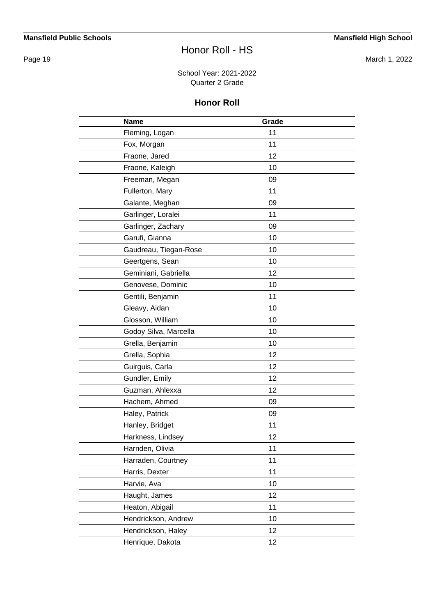Page 19 March 1, 2022

#### School Year: 2021-2022 Quarter 2 Grade

| <b>Name</b>           | Grade |  |
|-----------------------|-------|--|
| Fleming, Logan        | 11    |  |
| Fox, Morgan           | 11    |  |
| Fraone, Jared         | 12    |  |
| Fraone, Kaleigh       | 10    |  |
| Freeman, Megan        | 09    |  |
| Fullerton, Mary       | 11    |  |
| Galante, Meghan       | 09    |  |
| Garlinger, Loralei    | 11    |  |
| Garlinger, Zachary    | 09    |  |
| Garufi, Gianna        | 10    |  |
| Gaudreau, Tiegan-Rose | 10    |  |
| Geertgens, Sean       | 10    |  |
| Geminiani, Gabriella  | 12    |  |
| Genovese, Dominic     | 10    |  |
| Gentili, Benjamin     | 11    |  |
| Gleavy, Aidan         | 10    |  |
| Glosson, William      | 10    |  |
| Godoy Silva, Marcella | 10    |  |
| Grella, Benjamin      | 10    |  |
| Grella, Sophia        | 12    |  |
| Guirguis, Carla       | 12    |  |
| Gundler, Emily        | 12    |  |
| Guzman, Ahlexxa       | 12    |  |
| Hachem, Ahmed         | 09    |  |
| Haley, Patrick        | 09    |  |
| Hanley, Bridget       | 11    |  |
| Harkness, Lindsey     | 12    |  |
| Harnden, Olivia       | 11    |  |
| Harraden, Courtney    | 11    |  |
| Harris, Dexter        | 11    |  |
| Harvie, Ava           | 10    |  |
| Haught, James         | 12    |  |
| Heaton, Abigail       | 11    |  |
| Hendrickson, Andrew   | 10    |  |
| Hendrickson, Haley    | 12    |  |
| Henrique, Dakota      | 12    |  |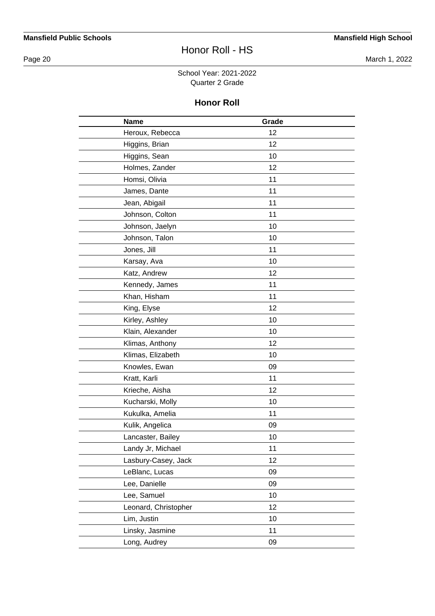Page 20 March 1, 2022

#### School Year: 2021-2022 Quarter 2 Grade

| <b>Name</b>          | Grade |  |
|----------------------|-------|--|
| Heroux, Rebecca      | 12    |  |
| Higgins, Brian       | 12    |  |
| Higgins, Sean        | 10    |  |
| Holmes, Zander       | 12    |  |
| Homsi, Olivia        | 11    |  |
| James, Dante         | 11    |  |
| Jean, Abigail        | 11    |  |
| Johnson, Colton      | 11    |  |
| Johnson, Jaelyn      | 10    |  |
| Johnson, Talon       | 10    |  |
| Jones, Jill          | 11    |  |
| Karsay, Ava          | 10    |  |
| Katz, Andrew         | 12    |  |
| Kennedy, James       | 11    |  |
| Khan, Hisham         | 11    |  |
| King, Elyse          | 12    |  |
| Kirley, Ashley       | 10    |  |
| Klain, Alexander     | 10    |  |
| Klimas, Anthony      | 12    |  |
| Klimas, Elizabeth    | 10    |  |
| Knowles, Ewan        | 09    |  |
| Kratt, Karli         | 11    |  |
| Krieche, Aisha       | 12    |  |
| Kucharski, Molly     | 10    |  |
| Kukulka, Amelia      | 11    |  |
| Kulik, Angelica      | 09    |  |
| Lancaster, Bailey    | 10    |  |
| Landy Jr, Michael    | 11    |  |
| Lasbury-Casey, Jack  | 12    |  |
| LeBlanc, Lucas       | 09    |  |
| Lee, Danielle        | 09    |  |
| Lee, Samuel          | 10    |  |
| Leonard, Christopher | 12    |  |
| Lim, Justin          | 10    |  |
| Linsky, Jasmine      | 11    |  |
| Long, Audrey         | 09    |  |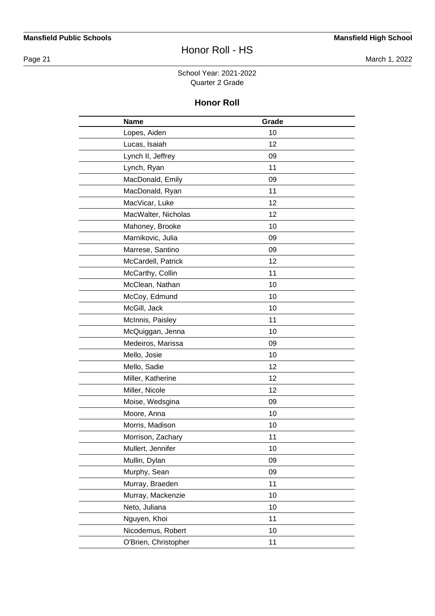Page 21 March 1, 2022

#### School Year: 2021-2022 Quarter 2 Grade

| <b>Name</b>          | Grade |  |
|----------------------|-------|--|
| Lopes, Aiden         | 10    |  |
| Lucas, Isaiah        | 12    |  |
| Lynch II, Jeffrey    | 09    |  |
| Lynch, Ryan          | 11    |  |
| MacDonald, Emily     | 09    |  |
| MacDonald, Ryan      | 11    |  |
| MacVicar, Luke       | 12    |  |
| MacWalter, Nicholas  | 12    |  |
| Mahoney, Brooke      | 10    |  |
| Marnikovic, Julia    | 09    |  |
| Marrese, Santino     | 09    |  |
| McCardell, Patrick   | 12    |  |
| McCarthy, Collin     | 11    |  |
| McClean, Nathan      | 10    |  |
| McCoy, Edmund        | 10    |  |
| McGill, Jack         | 10    |  |
| McInnis, Paisley     | 11    |  |
| McQuiggan, Jenna     | 10    |  |
| Medeiros, Marissa    | 09    |  |
| Mello, Josie         | 10    |  |
| Mello, Sadie         | 12    |  |
| Miller, Katherine    | 12    |  |
| Miller, Nicole       | 12    |  |
| Moise, Wedsgina      | 09    |  |
| Moore, Anna          | 10    |  |
| Morris, Madison      | 10    |  |
| Morrison, Zachary    | 11    |  |
| Mullert, Jennifer    | 10    |  |
| Mullin, Dylan        | 09    |  |
| Murphy, Sean         | 09    |  |
| Murray, Braeden      | 11    |  |
| Murray, Mackenzie    | 10    |  |
| Neto, Juliana        | 10    |  |
| Nguyen, Khoi         | 11    |  |
| Nicodemus, Robert    | 10    |  |
| O'Brien, Christopher | 11    |  |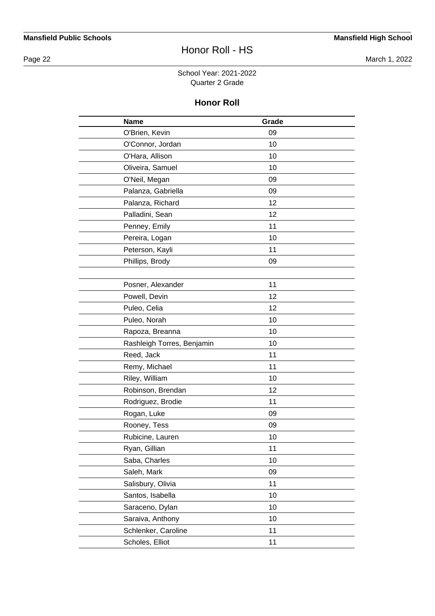Page 22 March 1, 2022

#### School Year: 2021-2022 Quarter 2 Grade

| <b>Name</b>                | Grade |  |
|----------------------------|-------|--|
| O'Brien, Kevin             | 09    |  |
| O'Connor, Jordan           | 10    |  |
| O'Hara, Allison            | 10    |  |
| Oliveira, Samuel           | 10    |  |
| O'Neil, Megan              | 09    |  |
| Palanza, Gabriella         | 09    |  |
| Palanza, Richard           | 12    |  |
| Palladini, Sean            | 12    |  |
| Penney, Emily              | 11    |  |
| Pereira, Logan             | 10    |  |
| Peterson, Kayli            | 11    |  |
| Phillips, Brody            | 09    |  |
|                            |       |  |
| Posner, Alexander          | 11    |  |
| Powell, Devin              | 12    |  |
| Puleo, Celia               | 12    |  |
| Puleo, Norah               | 10    |  |
| Rapoza, Breanna            | 10    |  |
| Rashleigh Torres, Benjamin | 10    |  |
| Reed, Jack                 | 11    |  |
| Remy, Michael              | 11    |  |
| Riley, William             | 10    |  |
| Robinson, Brendan          | 12    |  |
| Rodriguez, Brodie          | 11    |  |
| Rogan, Luke                | 09    |  |
| Rooney, Tess               | 09    |  |
| Rubicine, Lauren           | 10    |  |
| Ryan, Gillian              | 11    |  |
| Saba, Charles              | 10    |  |
| Saleh, Mark                | 09    |  |
| Salisbury, Olivia          | 11    |  |
| Santos, Isabella           | 10    |  |
| Saraceno, Dylan            | 10    |  |
| Saraiva, Anthony           | 10    |  |
| Schlenker, Caroline        | 11    |  |
| Scholes, Elliot            | 11    |  |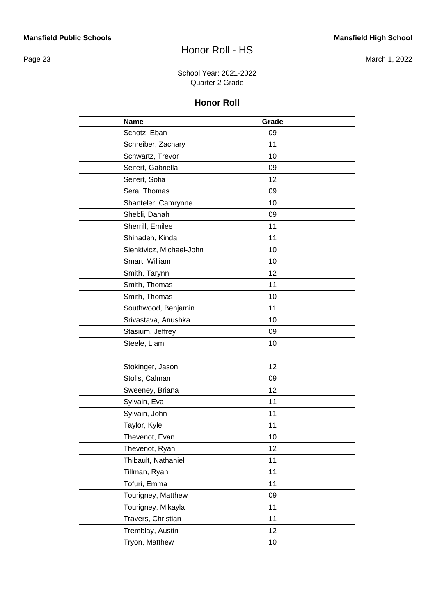Page 23 March 1, 2022

#### School Year: 2021-2022 Quarter 2 Grade

| <b>Name</b>              | Grade |  |
|--------------------------|-------|--|
| Schotz, Eban             | 09    |  |
| Schreiber, Zachary       | 11    |  |
| Schwartz, Trevor         | 10    |  |
| Seifert, Gabriella       | 09    |  |
| Seifert, Sofia           | 12    |  |
| Sera, Thomas             | 09    |  |
| Shanteler, Camrynne      | 10    |  |
| Shebli, Danah            | 09    |  |
| Sherrill, Emilee         | 11    |  |
| Shihadeh, Kinda          | 11    |  |
| Sienkivicz, Michael-John | 10    |  |
| Smart, William           | 10    |  |
| Smith, Tarynn            | 12    |  |
| Smith, Thomas            | 11    |  |
| Smith, Thomas            | 10    |  |
| Southwood, Benjamin      | 11    |  |
| Srivastava, Anushka      | 10    |  |
| Stasium, Jeffrey         | 09    |  |
| Steele, Liam             | 10    |  |
|                          |       |  |
| Stokinger, Jason         | 12    |  |
| Stolls, Calman           | 09    |  |
| Sweeney, Briana          | 12    |  |
| Sylvain, Eva             | 11    |  |
| Sylvain, John            | 11    |  |
| Taylor, Kyle             | 11    |  |
| Thevenot, Evan           | 10    |  |
| Thevenot, Ryan           | 12    |  |
| Thibault, Nathaniel      | 11    |  |
| Tillman, Ryan            | 11    |  |
| Tofuri, Emma             | 11    |  |
| Tourigney, Matthew       | 09    |  |
| Tourigney, Mikayla       | 11    |  |
| Travers, Christian       | 11    |  |
| Tremblay, Austin         | 12    |  |
| Tryon, Matthew           | 10    |  |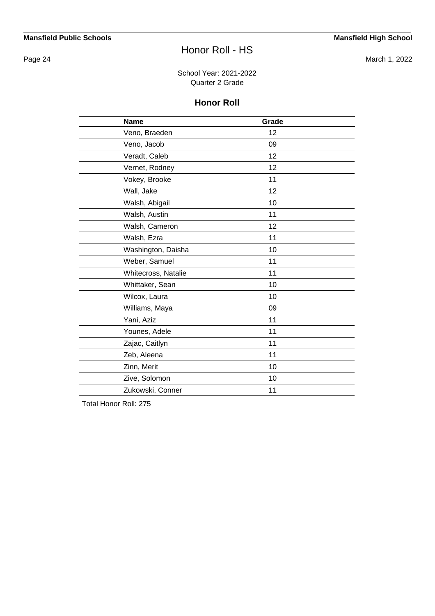Page 24 March 1, 2022

#### School Year: 2021-2022 Quarter 2 Grade

#### **Honor Roll**

| <b>Name</b>         | Grade |  |
|---------------------|-------|--|
| Veno, Braeden       | 12    |  |
| Veno, Jacob         | 09    |  |
| Veradt, Caleb       | 12    |  |
| Vernet, Rodney      | 12    |  |
| Vokey, Brooke       | 11    |  |
| Wall, Jake          | 12    |  |
| Walsh, Abigail      | 10    |  |
| Walsh, Austin       | 11    |  |
| Walsh, Cameron      | 12    |  |
| Walsh, Ezra         | 11    |  |
| Washington, Daisha  | 10    |  |
| Weber, Samuel       | 11    |  |
| Whitecross, Natalie | 11    |  |
| Whittaker, Sean     | 10    |  |
| Wilcox, Laura       | 10    |  |
| Williams, Maya      | 09    |  |
| Yani, Aziz          | 11    |  |
| Younes, Adele       | 11    |  |
| Zajac, Caitlyn      | 11    |  |
| Zeb, Aleena         | 11    |  |
| Zinn, Merit         | 10    |  |
| Zive, Solomon       | 10    |  |
| Zukowski, Conner    | 11    |  |

Total Honor Roll: 275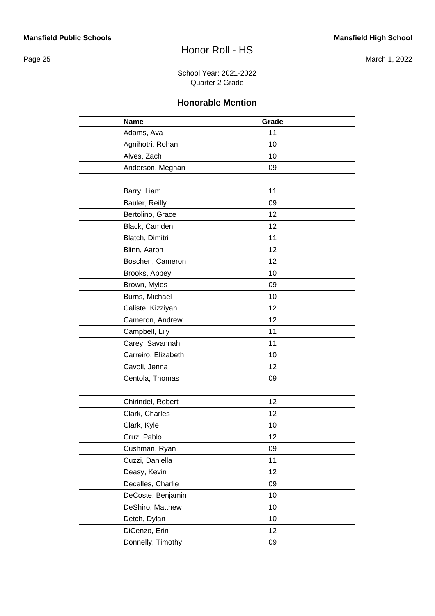Page 25 March 1, 2022

School Year: 2021-2022 Quarter 2 Grade

### **Honorable Mention**

| <b>Name</b>         | Grade |  |
|---------------------|-------|--|
| Adams, Ava          | 11    |  |
| Agnihotri, Rohan    | 10    |  |
| Alves, Zach         | 10    |  |
| Anderson, Meghan    | 09    |  |
|                     |       |  |
| Barry, Liam         | 11    |  |
| Bauler, Reilly      | 09    |  |
| Bertolino, Grace    | 12    |  |
| Black, Camden       | 12    |  |
| Blatch, Dimitri     | 11    |  |
| Blinn, Aaron        | 12    |  |
| Boschen, Cameron    | 12    |  |
| Brooks, Abbey       | 10    |  |
| Brown, Myles        | 09    |  |
| Burns, Michael      | 10    |  |
| Caliste, Kizziyah   | 12    |  |
| Cameron, Andrew     | 12    |  |
| Campbell, Lily      | 11    |  |
| Carey, Savannah     | 11    |  |
| Carreiro, Elizabeth | 10    |  |
| Cavoli, Jenna       | 12    |  |
| Centola, Thomas     | 09    |  |
|                     |       |  |
| Chirindel, Robert   | 12    |  |
| Clark, Charles      | 12    |  |
| Clark, Kyle         | 10    |  |
| Cruz, Pablo         | 12    |  |
| Cushman, Ryan       | 09    |  |
| Cuzzi, Daniella     | 11    |  |
| Deasy, Kevin        | 12    |  |
| Decelles, Charlie   | 09    |  |
| DeCoste, Benjamin   | 10    |  |
| DeShiro, Matthew    | 10    |  |
| Detch, Dylan        | 10    |  |
| DiCenzo, Erin       | 12    |  |
| Donnelly, Timothy   | 09    |  |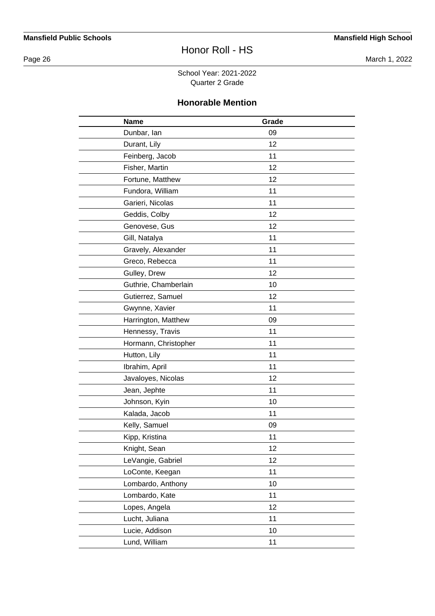Page 26 March 1, 2022

School Year: 2021-2022 Quarter 2 Grade

## **Honorable Mention**

| <b>Name</b>          | Grade |  |
|----------------------|-------|--|
| Dunbar, lan          | 09    |  |
| Durant, Lily         | 12    |  |
| Feinberg, Jacob      | 11    |  |
| Fisher, Martin       | 12    |  |
| Fortune, Matthew     | 12    |  |
| Fundora, William     | 11    |  |
| Garieri, Nicolas     | 11    |  |
| Geddis, Colby        | 12    |  |
| Genovese, Gus        | 12    |  |
| Gill, Natalya        | 11    |  |
| Gravely, Alexander   | 11    |  |
| Greco, Rebecca       | 11    |  |
| Gulley, Drew         | 12    |  |
| Guthrie, Chamberlain | 10    |  |
| Gutierrez, Samuel    | 12    |  |
| Gwynne, Xavier       | 11    |  |
| Harrington, Matthew  | 09    |  |
| Hennessy, Travis     | 11    |  |
| Hormann, Christopher | 11    |  |
| Hutton, Lily         | 11    |  |
| Ibrahim, April       | 11    |  |
| Javaloyes, Nicolas   | 12    |  |
| Jean, Jephte         | 11    |  |
| Johnson, Kyin        | 10    |  |
| Kalada, Jacob        | 11    |  |
| Kelly, Samuel        | 09    |  |
| Kipp, Kristina       | 11    |  |
| Knight, Sean         | 12    |  |
| LeVangie, Gabriel    | 12    |  |
| LoConte, Keegan      | 11    |  |
| Lombardo, Anthony    | 10    |  |
| Lombardo, Kate       | 11    |  |
| Lopes, Angela        | 12    |  |
| Lucht, Juliana       | 11    |  |
| Lucie, Addison       | 10    |  |
| Lund, William        | 11    |  |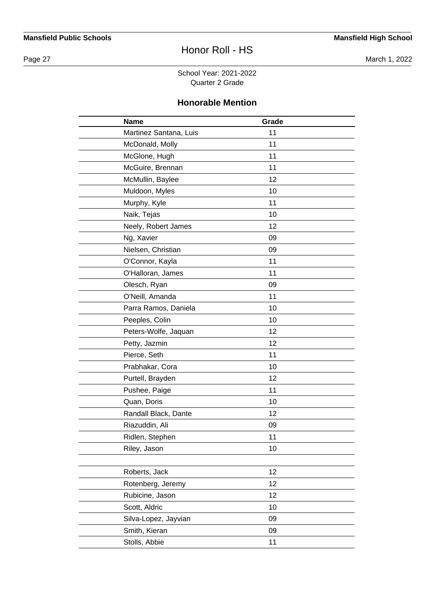Page 27 March 1, 2022

School Year: 2021-2022 Quarter 2 Grade

#### **Honorable Mention**

| <b>Name</b>            | Grade |  |
|------------------------|-------|--|
| Martinez Santana, Luis | 11    |  |
| McDonald, Molly        | 11    |  |
| McGlone, Hugh          | 11    |  |
| McGuire, Brennan       | 11    |  |
| McMullin, Baylee       | 12    |  |
| Muldoon, Myles         | 10    |  |
| Murphy, Kyle           | 11    |  |
| Naik, Tejas            | 10    |  |
| Neely, Robert James    | 12    |  |
| Ng, Xavier             | 09    |  |
| Nielsen, Christian     | 09    |  |
| O'Connor, Kayla        | 11    |  |
| O'Halloran, James      | 11    |  |
| Olesch, Ryan           | 09    |  |
| O'Neill, Amanda        | 11    |  |
| Parra Ramos, Daniela   | 10    |  |
| Peeples, Colin         | 10    |  |
| Peters-Wolfe, Jaquan   | 12    |  |
| Petty, Jazmin          | 12    |  |
| Pierce, Seth           | 11    |  |
| Prabhakar, Cora        | 10    |  |
| Purtell, Brayden       | 12    |  |
| Pushee, Paige          | 11    |  |
| Quan, Doris            | 10    |  |
| Randall Black, Dante   | 12    |  |
| Riazuddin, Ali         | 09    |  |
| Ridlen, Stephen        | 11    |  |
| Riley, Jason           | 10    |  |
|                        |       |  |
| Roberts, Jack          | 12    |  |
| Rotenberg, Jeremy      | 12    |  |
| Rubicine, Jason        | 12    |  |
| Scott, Aldric          | 10    |  |
| Silva-Lopez, Jayvian   | 09    |  |
| Smith, Kieran          | 09    |  |
| Stolls, Abbie          | 11    |  |